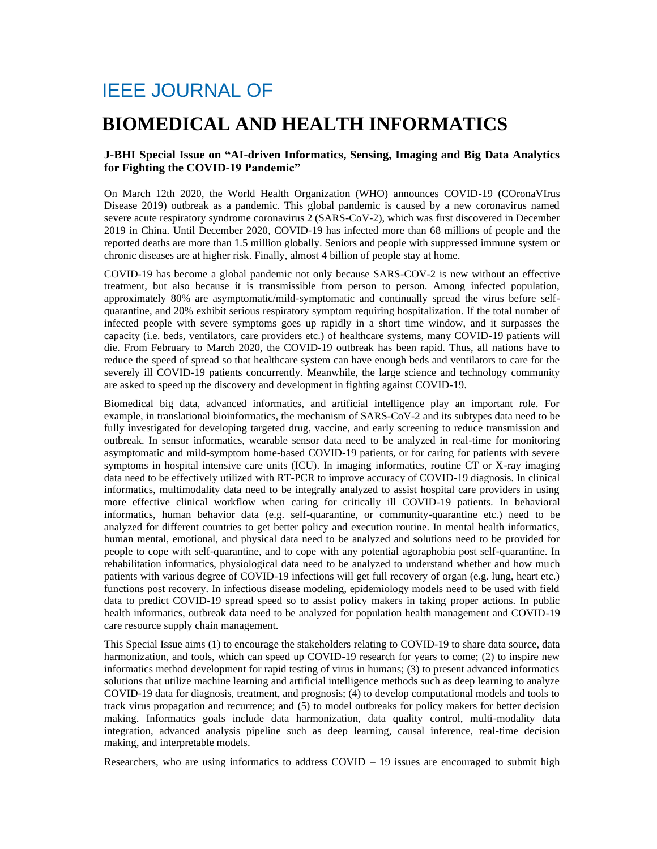## IEEE JOURNAL OF

## **BIOMEDICAL AND HEALTH INFORMATICS**

## **J-BHI Special Issue on "AI-driven Informatics, Sensing, Imaging and Big Data Analytics for Fighting the COVID-19 Pandemic"**

On March 12th 2020, the World Health Organization (WHO) announces COVID-19 (COronaVIrus Disease 2019) outbreak as a pandemic. This global pandemic is caused by a new coronavirus named severe acute respiratory syndrome coronavirus 2 (SARS-CoV-2), which was first discovered in December 2019 in China. Until December 2020, COVID-19 has infected more than 68 millions of people and the reported deaths are more than 1.5 million globally. Seniors and people with suppressed immune system or chronic diseases are at higher risk. Finally, almost 4 billion of people stay at home.

COVID-19 has become a global pandemic not only because SARS-COV-2 is new without an effective treatment, but also because it is transmissible from person to person. Among infected population, approximately 80% are asymptomatic/mild-symptomatic and continually spread the virus before selfquarantine, and 20% exhibit serious respiratory symptom requiring hospitalization. If the total number of infected people with severe symptoms goes up rapidly in a short time window, and it surpasses the capacity (i.e. beds, ventilators, care providers etc.) of healthcare systems, many COVID-19 patients will die. From February to March 2020, the COVID-19 outbreak has been rapid. Thus, all nations have to reduce the speed of spread so that healthcare system can have enough beds and ventilators to care for the severely ill COVID-19 patients concurrently. Meanwhile, the large science and technology community are asked to speed up the discovery and development in fighting against COVID-19.

Biomedical big data, advanced informatics, and artificial intelligence play an important role. For example, in translational bioinformatics, the mechanism of SARS-CoV-2 and its subtypes data need to be fully investigated for developing targeted drug, vaccine, and early screening to reduce transmission and outbreak. In sensor informatics, wearable sensor data need to be analyzed in real-time for monitoring asymptomatic and mild-symptom home-based COVID-19 patients, or for caring for patients with severe symptoms in hospital intensive care units (ICU). In imaging informatics, routine CT or X-ray imaging data need to be effectively utilized with RT-PCR to improve accuracy of COVID-19 diagnosis. In clinical informatics, multimodality data need to be integrally analyzed to assist hospital care providers in using more effective clinical workflow when caring for critically ill COVID-19 patients. In behavioral informatics, human behavior data (e.g. self-quarantine, or community-quarantine etc.) need to be analyzed for different countries to get better policy and execution routine. In mental health informatics, human mental, emotional, and physical data need to be analyzed and solutions need to be provided for people to cope with self-quarantine, and to cope with any potential agoraphobia post self-quarantine. In rehabilitation informatics, physiological data need to be analyzed to understand whether and how much patients with various degree of COVID-19 infections will get full recovery of organ (e.g. lung, heart etc.) functions post recovery. In infectious disease modeling, epidemiology models need to be used with field data to predict COVID-19 spread speed so to assist policy makers in taking proper actions. In public health informatics, outbreak data need to be analyzed for population health management and COVID-19 care resource supply chain management.

This Special Issue aims (1) to encourage the stakeholders relating to COVID-19 to share data source, data harmonization, and tools, which can speed up COVID-19 research for years to come; (2) to inspire new informatics method development for rapid testing of virus in humans; (3) to present advanced informatics solutions that utilize machine learning and artificial intelligence methods such as deep learning to analyze COVID-19 data for diagnosis, treatment, and prognosis; (4) to develop computational models and tools to track virus propagation and recurrence; and (5) to model outbreaks for policy makers for better decision making. Informatics goals include data harmonization, data quality control, multi-modality data integration, advanced analysis pipeline such as deep learning, causal inference, real-time decision making, and interpretable models.

Researchers, who are using informatics to address  $COVID - 19$  issues are encouraged to submit high